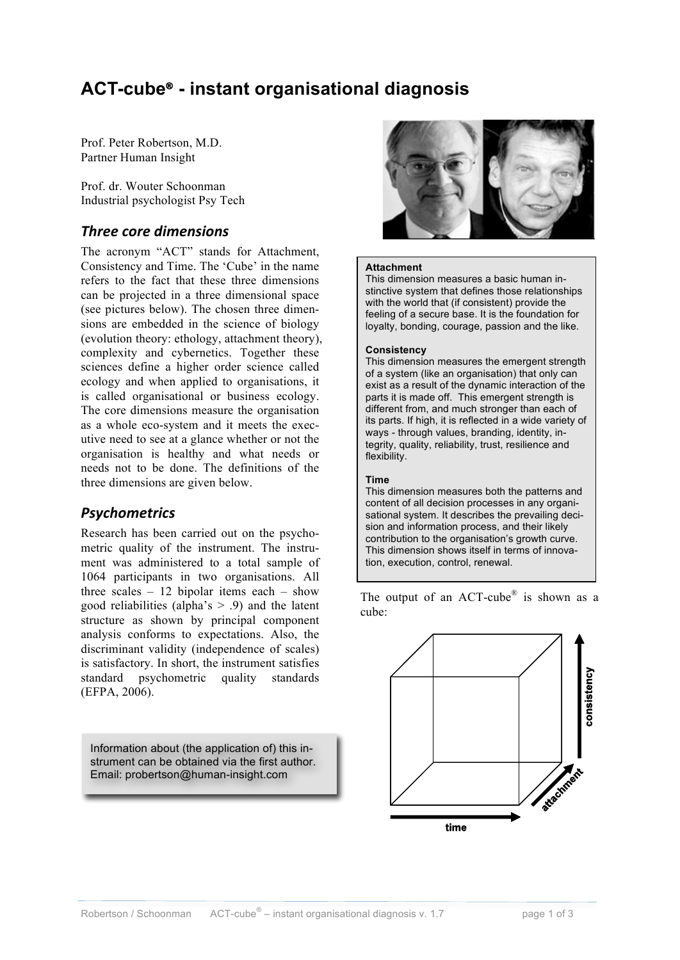# **ACT-cube® - instant organisational diagnosis**

Prof. Peter Robertson, M.D. Partner Human Insight

Prof. dr. Wouter Schoonman Industrial psychologist Psy Tech

### *Three
core
dimensions*

The acronym "ACT" stands for Attachment, Consistency and Time. The 'Cube' in the name refers to the fact that these three dimensions can be projected in a three dimensional space (see pictures below). The chosen three dimensions are embedded in the science of biology (evolution theory: ethology, attachment theory), complexity and cybernetics. Together these sciences define a higher order science called ecology and when applied to organisations, it is called organisational or business ecology. The core dimensions measure the organisation as a whole eco-system and it meets the executive need to see at a glance whether or not the organisation is healthy and what needs or needs not to be done. The definitions of the three dimensions are given below.

### *Psychometrics*

Research has been carried out on the psychometric quality of the instrument. The instrument was administered to a total sample of 1064 participants in two organisations. All three scales  $-12$  bipolar items each  $-$  show good reliabilities (alpha's  $> .9$ ) and the latent structure as shown by principal component analysis conforms to expectations. Also, the discriminant validity (independence of scales) is satisfactory. In short, the instrument satisfies standard psychometric quality standards (EFPA, 2006).

Information about (the application of) this instrument can be obtained via the first author. Email: probertson@human-insight.com



### **Attachment**

This dimension measures a basic human instinctive system that defines those relationships with the world that (if consistent) provide the feeling of a secure base. It is the foundation for loyalty, bonding, courage, passion and the like.

#### **Consistency**

This dimension measures the emergent strength of a system (like an organisation) that only can exist as a result of the dynamic interaction of the parts it is made off. This emergent strength is different from, and much stronger than each of its parts. If high, it is reflected in a wide variety of ways - through values, branding, identity, integrity, quality, reliability, trust, resilience and flexibility.

#### **Time**

This dimension measures both the patterns and content of all decision processes in any organisational system. It describes the prevailing decision and information process, and their likely contribution to the organisation's growth curve. This dimension shows itself in terms of innovation, execution, control, renewal.

The output of an ACT-cube<sup>®</sup> is shown as a cube:

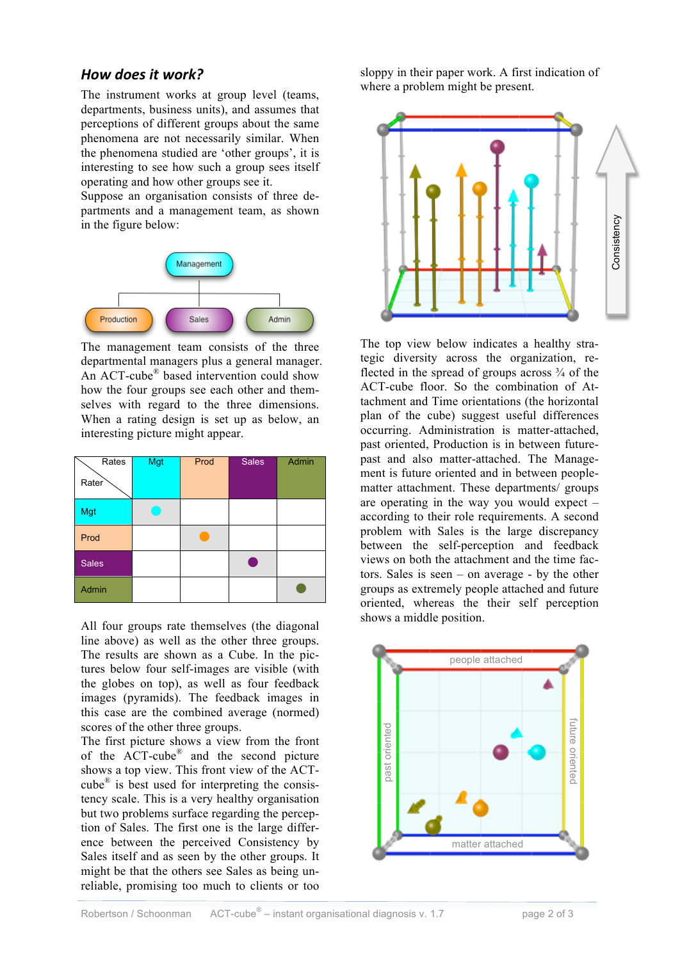### *How
does
it
work?*

The instrument works at group level (teams, departments, business units), and assumes that perceptions of different groups about the same phenomena are not necessarily similar. When the phenomena studied are 'other groups', it is interesting to see how such a group sees itself operating and how other groups see it.

Suppose an organisation consists of three departments and a management team, as shown in the figure below:



The management team consists of the three departmental managers plus a general manager. An ACT-cube® based intervention could show how the four groups see each other and themselves with regard to the three dimensions. When a rating design is set up as below, an interesting picture might appear.

| Rates<br>Rater | <b>Mgt</b> | Prod | <b>Sales</b> | Admin |
|----------------|------------|------|--------------|-------|
| <b>Mgt</b>     |            |      |              |       |
| Prod           |            |      |              |       |
| <b>Sales</b>   |            |      |              |       |
| Admin          |            |      |              |       |

All four groups rate themselves (the diagonal line above) as well as the other three groups. The results are shown as a Cube. In the pictures below four self-images are visible (with the globes on top), as well as four feedback images (pyramids). The feedback images in this case are the combined average (normed) scores of the other three groups.

The first picture shows a view from the front of the ACT-cube® and the second picture shows a top view. This front view of the ACTcube $^{\circledR}$  is best used for interpreting the consistency scale. This is a very healthy organisation but two problems surface regarding the perception of Sales. The first one is the large difference between the perceived Consistency by Sales itself and as seen by the other groups. It might be that the others see Sales as being unreliable, promising too much to clients or too

sloppy in their paper work. A first indication of where a problem might be present.



The top view below indicates a healthy strategic diversity across the organization, reflected in the spread of groups across ¾ of the ACT-cube floor. So the combination of Attachment and Time orientations (the horizontal plan of the cube) suggest useful differences occurring. Administration is matter-attached, past oriented, Production is in between futurepast and also matter-attached. The Management is future oriented and in between peoplematter attachment. These departments/ groups are operating in the way you would expect – according to their role requirements. A second problem with Sales is the large discrepancy between the self-perception and feedback views on both the attachment and the time factors. Sales is seen – on average - by the other groups as extremely people attached and future oriented, whereas the their self perception shows a middle position.